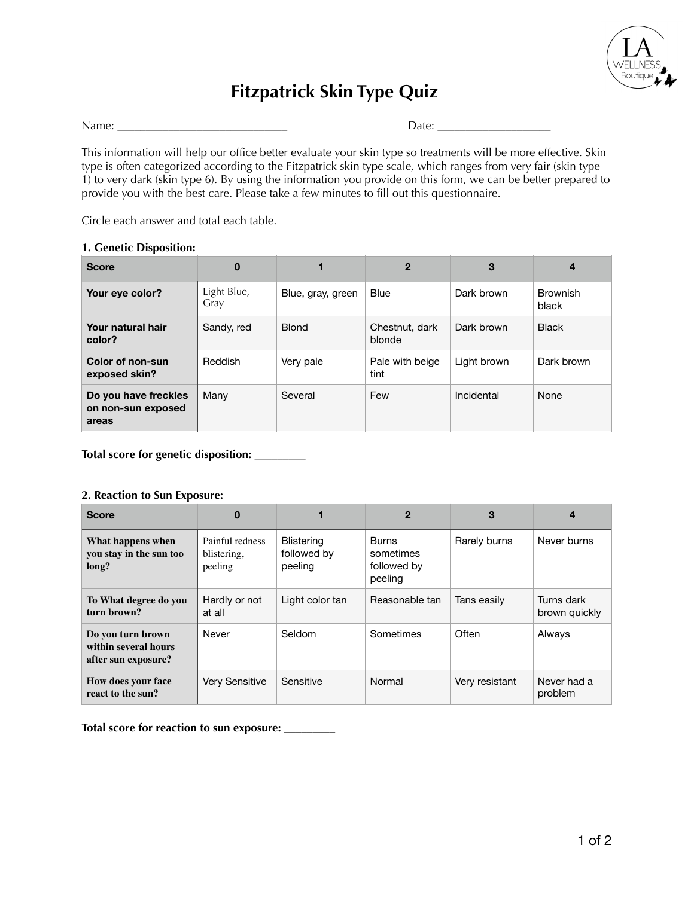

# **Fitzpatrick Skin Type Quiz**

Name: \_\_\_\_\_\_\_\_\_\_\_\_\_\_\_\_\_\_\_\_\_\_\_\_\_\_\_\_\_\_ Date: \_\_\_\_\_\_\_\_\_\_\_\_\_\_\_\_\_\_\_\_

This information will help our office better evaluate your skin type so treatments will be more effective. Skin type is often categorized according to the Fitzpatrick skin type scale, which ranges from very fair (skin type 1) to very dark (skin type 6). By using the information you provide on this form, we can be better prepared to provide you with the best care. Please take a few minutes to fill out this questionnaire.

Circle each answer and total each table.

## **1. Genetic Disposition:**

| <b>Score</b>                                        | $\bf{0}$            |                   | $\mathbf{2}$             | 3           | $\overline{4}$           |
|-----------------------------------------------------|---------------------|-------------------|--------------------------|-------------|--------------------------|
| Your eye color?                                     | Light Blue,<br>Gray | Blue, gray, green | <b>Blue</b>              | Dark brown  | <b>Brownish</b><br>black |
| Your natural hair<br>color?                         | Sandy, red          | <b>Blond</b>      | Chestnut, dark<br>blonde | Dark brown  | <b>Black</b>             |
| Color of non-sun<br>exposed skin?                   | Reddish             | Very pale         | Pale with beige<br>tint  | Light brown | Dark brown               |
| Do you have freckles<br>on non-sun exposed<br>areas | Many                | Several           | Few                      | Incidental  | None                     |

**Total score for genetic disposition: \_\_\_\_\_\_\_\_\_** 

#### **2. Reaction to Sun Exposure:**

| <b>Score</b>                                                     | 0                                         |                                             | 2                                                   | 3              | 4                           |
|------------------------------------------------------------------|-------------------------------------------|---------------------------------------------|-----------------------------------------------------|----------------|-----------------------------|
| What happens when<br>you stay in the sun too<br>long?            | Painful redness<br>blistering,<br>peeling | <b>Blistering</b><br>followed by<br>peeling | <b>Burns</b><br>sometimes<br>followed by<br>peeling | Rarely burns   | Never burns                 |
| To What degree do you<br>turn brown?                             | Hardly or not<br>at all                   | Light color tan                             | Reasonable tan                                      | Tans easily    | Turns dark<br>brown quickly |
| Do you turn brown<br>within several hours<br>after sun exposure? | Never                                     | Seldom                                      | Sometimes                                           | Often          | Always                      |
| How does your face<br>react to the sun?                          | <b>Very Sensitive</b>                     | Sensitive                                   | Normal                                              | Very resistant | Never had a<br>problem      |

**Total score for reaction to sun exposure: \_\_\_\_\_\_\_\_\_**